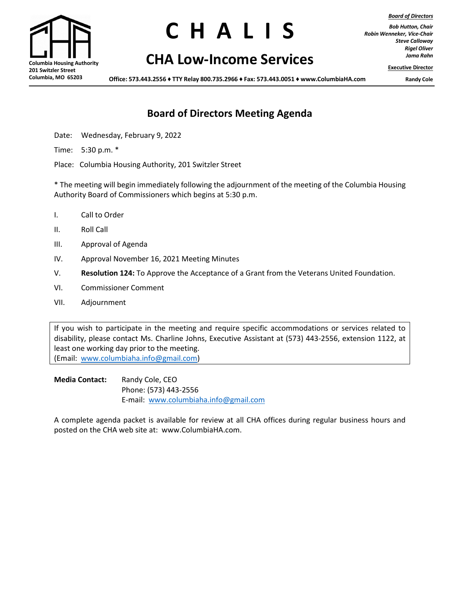*Board of Directors*

**201 Switzler Street Columbia, MO 65203**

# **C H A L S**

# **Columbia Housing Authority CHA Low-Income Services**

*Bob Hutton, Chair Robin Wenneker, Vice-Chair Steve Calloway Rigel Oliver Jama Rahn*

**Executive Director**

**Office: 573.443.2556 ♦ TTY Relay 800.735.2966 ♦ Fax: 573.443.0051 ♦ [www.ColumbiaHA.com](http://www.columbiaha.com/) Randy Cole**

## **Board of Directors Meeting Agenda**

Date: Wednesday, February 9, 2022

Time: 5:30 p.m. \*

Place: Columbia Housing Authority, 201 Switzler Street

\* The meeting will begin immediately following the adjournment of the meeting of the Columbia Housing Authority Board of Commissioners which begins at 5:30 p.m.

- I. Call to Order
- II. Roll Call
- III. Approval of Agenda
- IV. Approval November 16, 2021 Meeting Minutes
- V. **Resolution 124:** To Approve the Acceptance of a Grant from the Veterans United Foundation.
- VI. Commissioner Comment
- VII. Adjournment

If you wish to participate in the meeting and require specific accommodations or services related to disability, please contact Ms. Charline Johns, Executive Assistant at (573) 443-2556, extension 1122, at least one working day prior to the meeting. (Email: [www.columbiaha.info@gmail.com\)](http://www.columbiaha.info@gmail.com)

**Media Contact:** Randy Cole, CEO Phone: (573) 443-2556 E-mail: [www.columbiaha.info@gmail.com](http://www.columbiaha.info@gmail.com)

A complete agenda packet is available for review at all CHA offices during regular business hours and posted on the CHA web site at: www.ColumbiaHA.com.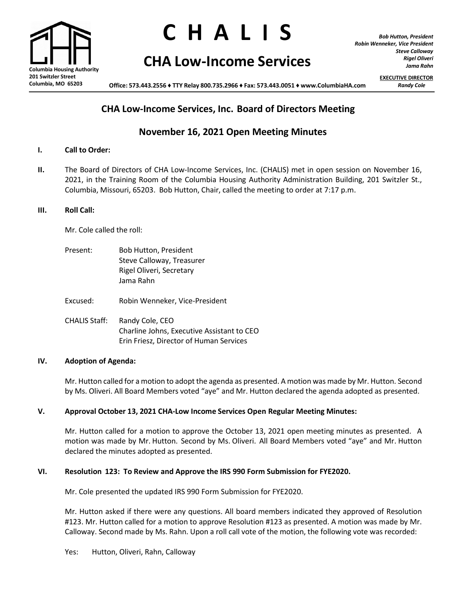

# **C H A L S**

# **CHA Low-Income Services**

*Bob Hutton, President Robin Wenneker, Vice President Steve Calloway Rigel Oliveri Jama Rahn*

**EXECUTIVE DIRECTOR**

**Office: 573.443.2556 ♦ TTY Relay 800.735.2966 ♦ Fax: 573.443.0051 ♦ [www.ColumbiaHA.com](http://www.columbiaha.com/)** *Randy Cole*

## **CHA Low-Income Services, Inc. Board of Directors Meeting**

## **November 16, 2021 Open Meeting Minutes**

#### **I. Call to Order:**

**II.** The Board of Directors of CHA Low-Income Services, Inc. (CHALIS) met in open session on November 16, 2021, in the Training Room of the Columbia Housing Authority Administration Building, 201 Switzler St., Columbia, Missouri, 65203. Bob Hutton, Chair, called the meeting to order at 7:17 p.m.

#### **III. Roll Call:**

Mr. Cole called the roll:

| Present: | Bob Hutton, President     |
|----------|---------------------------|
|          | Steve Calloway, Treasurer |
|          | Rigel Oliveri, Secretary  |
|          | Jama Rahn                 |

Excused: Robin Wenneker, Vice-President

CHALIS Staff: Randy Cole, CEO Charline Johns, Executive Assistant to CEO Erin Friesz, Director of Human Services

#### **IV. Adoption of Agenda:**

Mr. Hutton called for a motion to adopt the agenda as presented. A motion was made by Mr. Hutton. Second by Ms. Oliveri. All Board Members voted "aye" and Mr. Hutton declared the agenda adopted as presented.

#### **V. Approval October 13, 2021 CHA-Low Income Services Open Regular Meeting Minutes:**

Mr. Hutton called for a motion to approve the October 13, 2021 open meeting minutes as presented. A motion was made by Mr. Hutton. Second by Ms. Oliveri. All Board Members voted "aye" and Mr. Hutton declared the minutes adopted as presented.

#### **VI. Resolution 123: To Review and Approve the IRS 990 Form Submission for FYE2020.**

Mr. Cole presented the updated IRS 990 Form Submission for FYE2020.

Mr. Hutton asked if there were any questions. All board members indicated they approved of Resolution #123. Mr. Hutton called for a motion to approve Resolution #123 as presented. A motion was made by Mr. Calloway. Second made by Ms. Rahn. Upon a roll call vote of the motion, the following vote was recorded: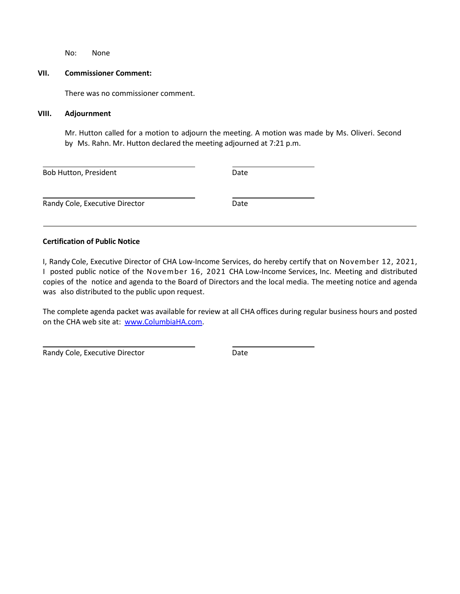No: None

#### **VII. Commissioner Comment:**

There was no commissioner comment.

#### **VIII. Adjournment**

Mr. Hutton called for a motion to adjourn the meeting. A motion was made by Ms. Oliveri. Second by Ms. Rahn. Mr. Hutton declared the meeting adjourned at 7:21 p.m.

| <b>Bob Hutton, President</b>   | Date |  |
|--------------------------------|------|--|
| Randy Cole, Executive Director | Date |  |

#### **Certification of Public Notice**

I, Randy Cole, Executive Director of CHA Low-Income Services, do hereby certify that on November 12, 2021, I posted public notice of the November 16, 2021 CHA Low-Income Services, Inc. Meeting and distributed copies of the notice and agenda to the Board of Directors and the local media. The meeting notice and agenda was also distributed to the public upon request.

The complete agenda packet was available for review at all CHA offices during regular business hours and posted on the CHA web site at: [www.ColumbiaHA.com.](http://www.columbiaha.com/)

Randy Cole, Executive Director **Example 20 and Solution** Date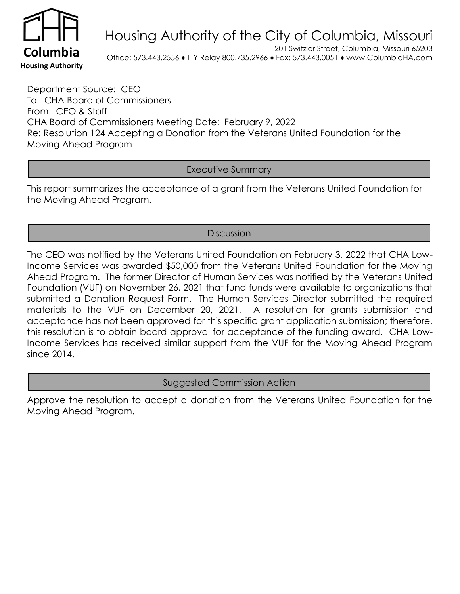

# Housing Authority of the City of Columbia, Missouri

201 Switzler Street, Columbia, Missouri 65203 **Columbia** Office: 573.443.2556 ♦ TTY Relay 800.735.2966 ♦ Fax: 573.443.0051 ♦ www.ColumbiaHA.com

Department Source: CEO To: CHA Board of Commissioners From: CEO & Staff CHA Board of Commissioners Meeting Date: February 9, 2022 Re: Resolution 124 Accepting a Donation from the Veterans United Foundation for the Moving Ahead Program

### Executive Summary

This report summarizes the acceptance of a grant from the Veterans United Foundation for the Moving Ahead Program.

### **Discussion**

The CEO was notified by the Veterans United Foundation on February 3, 2022 that CHA Low-Income Services was awarded \$50,000 from the Veterans United Foundation for the Moving Ahead Program. The former Director of Human Services was notified by the Veterans United Foundation (VUF) on November 26, 2021 that fund funds were available to organizations that submitted a Donation Request Form. The Human Services Director submitted the required materials to the VUF on December 20, 2021. A resolution for grants submission and acceptance has not been approved for this specific grant application submission; therefore, this resolution is to obtain board approval for acceptance of the funding award. CHA Low-Income Services has received similar support from the VUF for the Moving Ahead Program since 2014.

Suggested Commission Action

Approve the resolution to accept a donation from the Veterans United Foundation for the Moving Ahead Program.